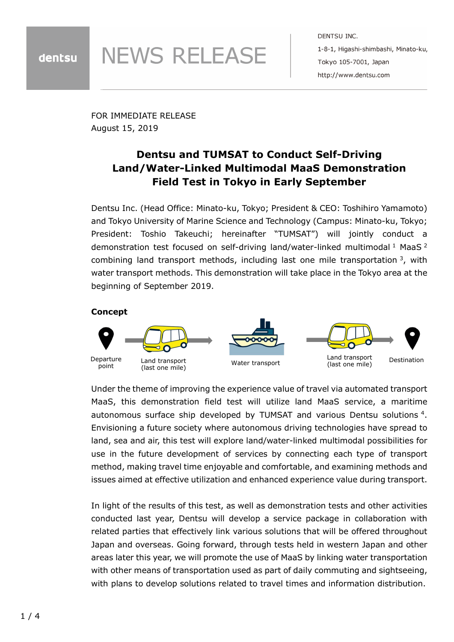# **NEWS RELEASE**

DENTSU INC. 1-8-1, Higashi-shimbashi, Minato-ku, Tokyo 105-7001, Japan http://www.dentsu.com

FOR IMMEDIATE RELEASE August 15, 2019

## **Dentsu and TUMSAT to Conduct Self-Driving Land/Water-Linked Multimodal MaaS Demonstration Field Test in Tokyo in Early September**

Dentsu Inc. (Head Office: Minato-ku, Tokyo; President & CEO: Toshihiro Yamamoto) and Tokyo University of Marine Science and Technology (Campus: Minato-ku, Tokyo; President: Toshio Takeuchi; hereinafter "TUMSAT") will jointly conduct a demonstration test focused on self-driving land/water-linked multimodal<sup>1</sup> MaaS<sup>2</sup> combining land transport methods, including last one mile transportation 3, with water transport methods. This demonstration will take place in the Tokyo area at the beginning of September 2019.

### **Concept**



Under the theme of improving the experience value of travel via automated transport MaaS, this demonstration field test will utilize land MaaS service, a maritime autonomous surface ship developed by TUMSAT and various Dentsu solutions 4. Envisioning a future society where autonomous driving technologies have spread to land, sea and air, this test will explore land/water-linked multimodal possibilities for use in the future development of services by connecting each type of transport method, making travel time enjoyable and comfortable, and examining methods and issues aimed at effective utilization and enhanced experience value during transport.

In light of the results of this test, as well as demonstration tests and other activities conducted last year, Dentsu will develop a service package in collaboration with related parties that effectively link various solutions that will be offered throughout Japan and overseas. Going forward, through tests held in western Japan and other areas later this year, we will promote the use of MaaS by linking water transportation with other means of transportation used as part of daily commuting and sightseeing, with plans to develop solutions related to travel times and information distribution.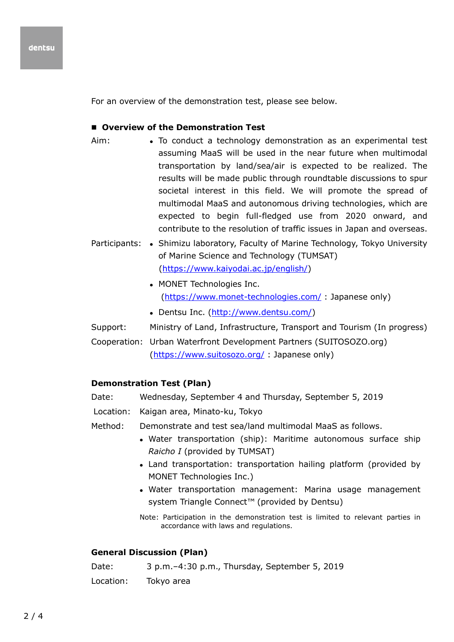For an overview of the demonstration test, please see below.

#### **Overview of the Demonstration Test**

- Aim: To conduct a technology demonstration as an experimental test assuming MaaS will be used in the near future when multimodal transportation by land/sea/air is expected to be realized. The results will be made public through roundtable discussions to spur societal interest in this field. We will promote the spread of multimodal MaaS and autonomous driving technologies, which are expected to begin full-fledged use from 2020 onward, and contribute to the resolution of traffic issues in Japan and overseas.
- Participants: Shimizu laboratory, Faculty of Marine Technology, Tokyo University of Marine Science and Technology (TUMSAT) [\(https://www.kaiyodai.ac.jp/english/\)](https://www.kaiyodai.ac.jp/english/)
	- MONET Technologies Inc. [\(https://www.monet-technologies.com/](https://www.monet-technologies.com/) : Japanese only)
	- Dentsu Inc. [\(http://www.dentsu.com/\)](http://www.dentsu.com/)
- Support: Ministry of Land, Infrastructure, Transport and Tourism (In progress)
- Cooperation: Urban Waterfront Development Partners (SUITOSOZO.org) [\(https://www.suitosozo.org/](https://www.suitosozo.org/) : Japanese only)

#### **Demonstration Test (Plan)**

- Date: Wednesday, September 4 and Thursday, September 5, 2019
- Location: Kaigan area, Minato-ku, Tokyo
- Method: Demonstrate and test sea/land multimodal MaaS as follows.
	- Water transportation (ship): Maritime autonomous surface ship *Raicho I* (provided by TUMSAT)
	- Land transportation: transportation hailing platform (provided by MONET Technologies Inc.)
	- Water transportation management: Marina usage management system Triangle Connect<sup>™</sup> (provided by Dentsu)

Note: Participation in the demonstration test is limited to relevant parties in accordance with laws and regulations.

#### **General Discussion (Plan)**

Date: 3 p.m.–4:30 p.m., Thursday, September 5, 2019

Location: Tokyo area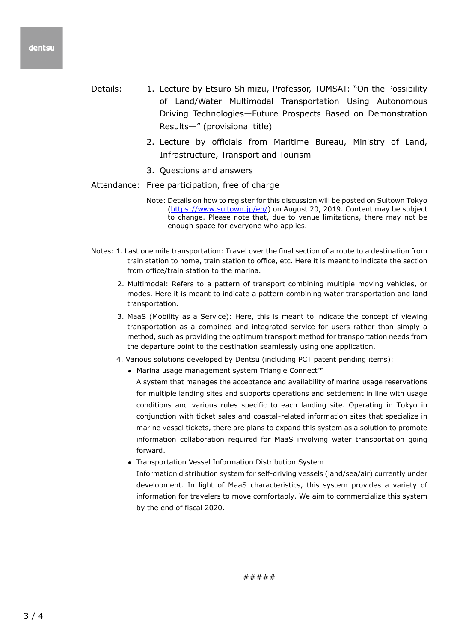- Details: 1. Lecture by Etsuro Shimizu, Professor, TUMSAT: "On the Possibility of Land/Water Multimodal Transportation Using Autonomous Driving Technologies—Future Prospects Based on Demonstration Results—" (provisional title)
	- 2. Lecture by officials from Maritime Bureau, Ministry of Land, Infrastructure, Transport and Tourism
	- 3. Questions and answers
- Attendance: Free participation, free of charge
	- Note: Details on how to register for this discussion will be posted on Suitown Tokyo [\(https://www.suitown.jp/en/\)](https://www.suitown.jp/en/) on August 20, 2019. Content may be subject to change. Please note that, due to venue limitations, there may not be enough space for everyone who applies.
- Notes: 1. Last one mile transportation: Travel over the final section of a route to a destination from train station to home, train station to office, etc. Here it is meant to indicate the section from office/train station to the marina.
	- 2. Multimodal: Refers to a pattern of transport combining multiple moving vehicles, or modes. Here it is meant to indicate a pattern combining water transportation and land transportation.
	- 3. MaaS (Mobility as a Service): Here, this is meant to indicate the concept of viewing transportation as a combined and integrated service for users rather than simply a method, such as providing the optimum transport method for transportation needs from the departure point to the destination seamlessly using one application.
	- 4. Various solutions developed by Dentsu (including PCT patent pending items):
		- Marina usage management system Triangle Connect™

A system that manages the acceptance and availability of marina usage reservations for multiple landing sites and supports operations and settlement in line with usage conditions and various rules specific to each landing site. Operating in Tokyo in conjunction with ticket sales and coastal-related information sites that specialize in marine vessel tickets, there are plans to expand this system as a solution to promote information collaboration required for MaaS involving water transportation going forward.

Transportation Vessel Information Distribution System

Information distribution system for self-driving vessels (land/sea/air) currently under development. In light of MaaS characteristics, this system provides a variety of information for travelers to move comfortably. We aim to commercialize this system by the end of fiscal 2020.